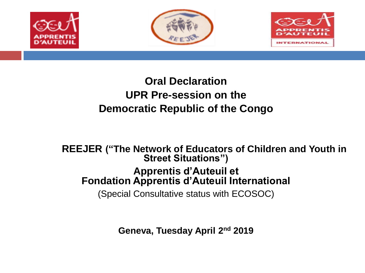

### **Oral Declaration UPR Pre-session on the Democratic Republic of the Congo**

**REEJER ("The Network of Educators of Children and Youth in Street Situations'')**

#### **Apprentis d'Auteuil et Fondation Apprentis d'Auteuil International**

(Special Consultative status with ECOSOC)

**Geneva, Tuesday April 2nd 2019**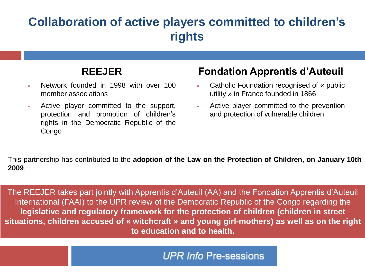### **Collaboration of active players committed to children's rights**

### **REEJER**

- Network founded in 1998 with over 100 member associations
- Active player committed to the support, protection and promotion of children's rights in the Democratic Republic of the Congo

### **Fondation Apprentis d'Auteuil**

- Catholic Foundation recognised of « public utility » in France founded in 1866
- Active player committed to the prevention and protection of vulnerable children

This partnership has contributed to the **adoption of the Law on the Protection of Children, on January 10th 2009**.

The REEJER takes part jointly with Apprentis d'Auteuil (AA) and the Fondation Apprentis d'Auteuil International (FAAI) to the UPR review of the Democratic Republic of the Congo regarding the **legislative and regulatory framework for the protection of children (children in street situations, children accused of « witchcraft » and young girl-mothers) as well as on the right to education and to health.**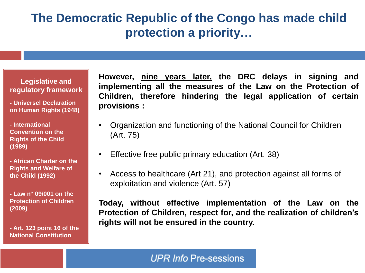### **The Democratic Republic of the Congo has made child protection a priority…**

#### **Legislative and regulatory framework**

**- Universel Declaration on Human Rights (1948)** 

**- International Convention on the Rights of the Child (1989)** 

**- African Charter on the Rights and Welfare of the Child (1992)**

**- Law n° 09/001 on the Protection of Children (2009)**

**- Art. 123 point 16 of the National Constitution**

**However, nine years later, the DRC delays in signing and implementing all the measures of the Law on the Protection of Children, therefore hindering the legal application of certain provisions :**

- Organization and functioning of the National Council for Children (Art. 75)
- Effective free public primary education (Art. 38)
- Access to healthcare (Art 21), and protection against all forms of exploitation and violence (Art. 57)

**Today, without effective implementation of the Law on the Protection of Children, respect for, and the realization of children's rights will not be ensured in the country.**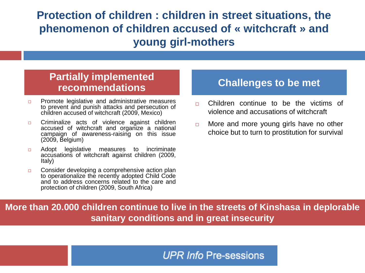**Protection of children : children in street situations, the phenomenon of children accused of « witchcraft » and young girl-mothers**

#### **Partially implemented recommendations Challenges to be met**

- $\Box$  Promote legislative and administrative measures to prevent and punish attacks and persecution of children accused of witchcraft (2009, Mexico)
- **n** Criminalize acts of violence against children accused of witchcraft and organize a national campaign of awareness-raising on this issue (2009, Belgium)
- **D** Adopt legislative measures to incriminate accusations of witchcraft against children (2009, Italy)
- $\Box$  Consider developing a comprehensive action plan to operationalize the recently adopted Child Code and to address concerns related to the care and protection of children (2009, South Africa)

- **n** Children continue to be the victims of violence and accusations of witchcraft
- $\Box$  More and more young girls have no other choice but to turn to prostitution for survival

**More than 20.000 children continue to live in the streets of Kinshasa in deplorable sanitary conditions and in great insecurity**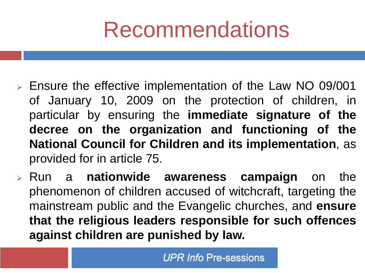# Recommendations

- ➢ Ensure the effective implementation of the Law NO 09/001 of January 10, 2009 on the protection of children, in particular by ensuring the **immediate signature of the decree on the organization and functioning of the National Council for Children and its implementation**, as provided for in article 75.
- ➢ Run a **nationwide awareness campaign** on the phenomenon of children accused of witchcraft, targeting the mainstream public and the Evangelic churches, and **ensure that the religious leaders responsible for such offences against children are punished by law.**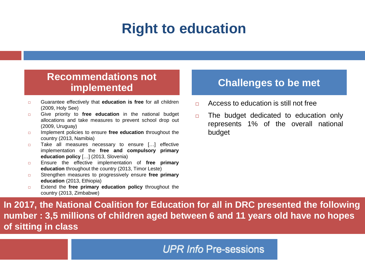## **Right to education**

#### **Recommendations not implemented Challenges to be met**

- Guarantee effectively that **education is free** for all children (2009, Holy See)
- Give priority to **free education** in the national budget allocations and take measures to prevent school drop out (2009, Uruguay)
- **IMPLEMENTED Implement policies to ensure free education throughout the** country (2013, Namibia)
- □ Take all measures necessary to ensure [...] effective implementation of the **free and compulsory primary education policy** […] (2013, Slovenia)
- Ensure the effective implementation of **free primary education** throughout the country (2013, Timor Leste)
- Strengthen measures to progressively ensure **free primary education** (2013, Ethiopia)
- Extend the **free primary education policy** throughout the country (2013, Zimbabwe)

- Access to education is still not free
- $\Box$  The budget dedicated to education only represents 1% of the overall national budget

**In 2017, the National Coalition for Education for all in DRC presented the following number : 3,5 millions of children aged between 6 and 11 years old have no hopes of sitting in class**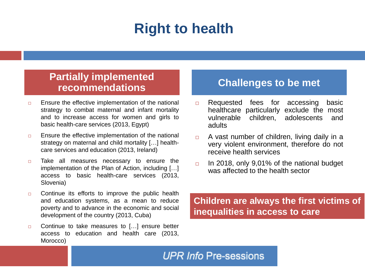## **Right to health**

#### **Partially implemented recommendations Challenges to be met**

- $\Box$  Ensure the effective implementation of the national strategy to combat maternal and infant mortality and to increase access for women and girls to basic health-care services (2013, Egypt)
- $\Box$  Ensure the effective implementation of the national strategy on maternal and child mortality […] healthcare services and education (2013, Ireland)
- $\Box$  Take all measures necessary to ensure the implementation of the Plan of Action, including […] access to basic health-care services (2013, Slovenia)
- $\Box$  Continue its efforts to improve the public health and education systems, as a mean to reduce poverty and to advance in the economic and social development of the country (2013, Cuba)
- □ Continue to take measures to [...] ensure better access to education and health care (2013, Morocco)

- □ Requested fees for accessing basic healthcare particularly exclude the most vulnerable children, adolescents and adults
- $\Box$  A vast number of children, living daily in a very violent environment, therefore do not receive health services
- $\Box$  In 2018, only 9,01% of the national budget was affected to the health sector

#### **Children are always the first victims of inequalities in access to care**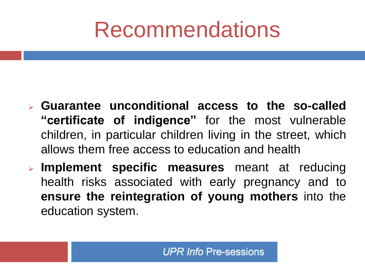# Recommendations

- ➢ **Guarantee unconditional access to the so-called "certificate of indigence"** for the most vulnerable children, in particular children living in the street, which allows them free access to education and health
- ➢ **Implement specific measures** meant at reducing health risks associated with early pregnancy and to **ensure the reintegration of young mothers** into the education system.